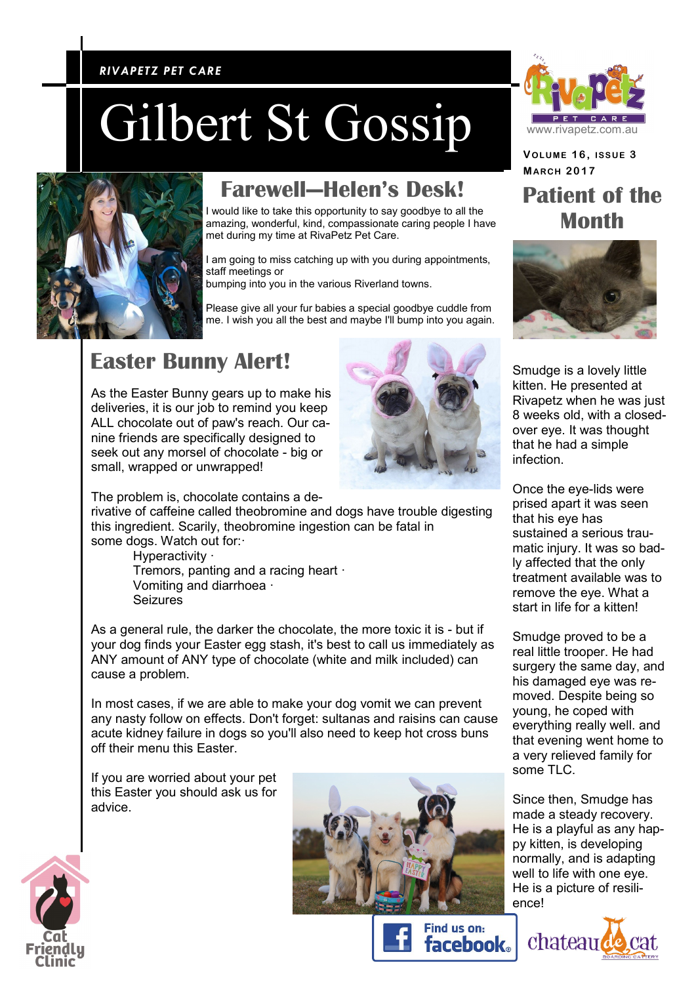#### *RIVAPETZ PET CARE RIVAPETZ PET CARE*

# Gilbert St Gossip



### **Farewell—Helen's Desk!**

I would like to take this opportunity to say goodbye to all the amazing, wonderful, kind, compassionate caring people I have met during my time at RivaPetz Pet Care.

I am going to miss catching up with you during appointments, staff meetings or

bumping into you in the various Riverland towns.

Please give all your fur babies a special goodbye cuddle from me. I wish you all the best and maybe I'll bump into you again.

#### **Easter Bunny Alert!**

As the Easter Bunny gears up to make his deliveries, it is our job to remind you keep ALL chocolate out of paw's reach. Our canine friends are specifically designed to seek out any morsel of chocolate - big or small, wrapped or unwrapped!



The problem is, chocolate contains a de-

rivative of caffeine called theobromine and dogs have trouble digesting this ingredient. Scarily, theobromine ingestion can be fatal in some dogs. Watch out for:·

> Hyperactivity · Tremors, panting and a racing heart · Vomiting and diarrhoea · Seizures

As a general rule, the darker the chocolate, the more toxic it is - but if your dog finds your Easter egg stash, it's best to call us immediately as ANY amount of ANY type of chocolate (white and milk included) can cause a problem.

In most cases, if we are able to make your dog vomit we can prevent any nasty follow on effects. Don't forget: sultanas and raisins can cause acute kidney failure in dogs so you'll also need to keep hot cross buns off their menu this Easter.

If you are worried about your pet this Easter you should ask us for advice.









**VOLUME 1 6 , ISSUE 3 MAR CH 2017 Patient of the Month** 



Smudge is a lovely little kitten. He presented at Rivapetz when he was just 8 weeks old, with a closedover eye. It was thought that he had a simple infection.

Once the eye-lids were prised apart it was seen that his eye has sustained a serious traumatic injury. It was so badly affected that the only treatment available was to remove the eye. What a start in life for a kitten!

Smudge proved to be a real little trooper. He had surgery the same day, and his damaged eye was removed. Despite being so young, he coped with everything really well. and that evening went home to a very relieved family for some TLC.

Since then, Smudge has made a steady recovery. He is a playful as any happy kitten, is developing normally, and is adapting well to life with one eye. He is a picture of resilience!